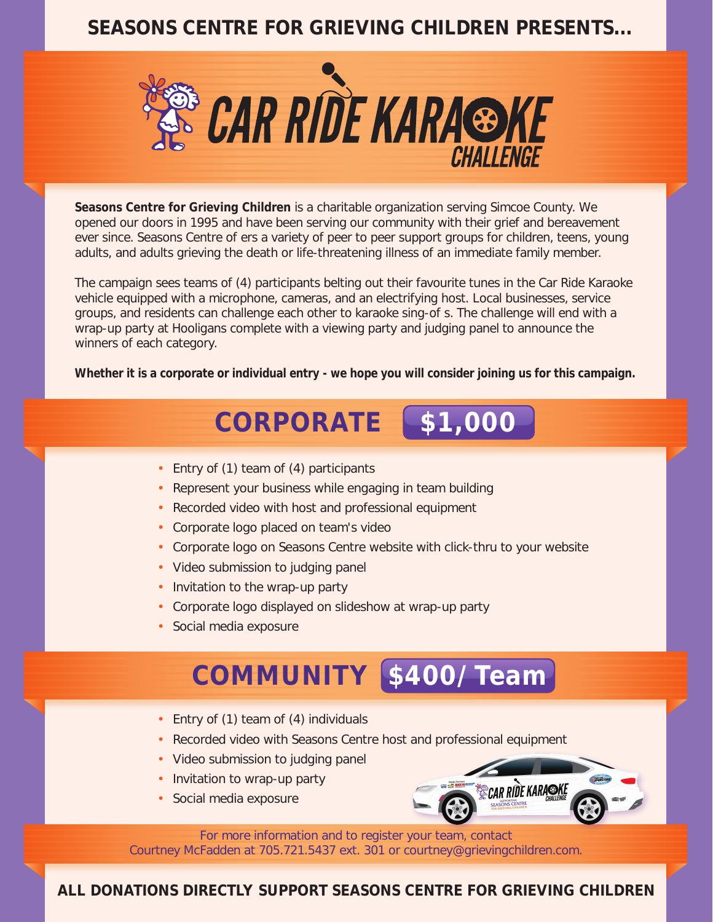### **SEASONS CENTRE FOR GRIEVING CHILDREN PRESENTS...**



**Seasons Centre for Grieving Children** is a charitable organization serving Simcoe County. We opened our doors in 1995 and have been serving our community with their grief and bereavement ever since. Seasons Centre o ers a variety of peer to peer support groups for children, teens, young adults, and adults grieving the death or life-threatening illness of an immediate family member.

The campaign sees teams of (4) participants belting out their favourite tunes in the Car Ride Karaoke vehicle equipped with a microphone, cameras, and an electrifying host. Local businesses, service groups, and residents can challenge each other to karaoke sing-o s. The challenge will end with a wrap-up party at Hooligans complete with a viewing party and judging panel to announce the winners of each category.

**Whether it is a corporate or individual entry - we hope you will consider joining us for this campaign.**

## **CORPORATE \$1,000**

- Entry of (1) team of (4) participants
- Represent your business while engaging in team building
- Recorded video with host and professional equipment
- Corporate logo placed on team's video
- Corporate logo on Seasons Centre website with click-thru to your website
- Video submission to judging panel
- Invitation to the wrap-up party
- Corporate logo displayed on slideshow at wrap-up party
- Social media exposure

# **COMMUNITY \$400/Team**

- Entry of (1) team of (4) individuals
- Recorded video with Seasons Centre host and professional equipment
- Video submission to judging panel
- Invitation to wrap-up party
- Social media exposure



For more information and to register your team, contact Courtney McFadden at 705.721.5437 ext. 301 or courtney@grievingchildren.com.

**ALL DONATIONS DIRECTLY SUPPORT SEASONS CENTRE FOR GRIEVING CHILDREN**